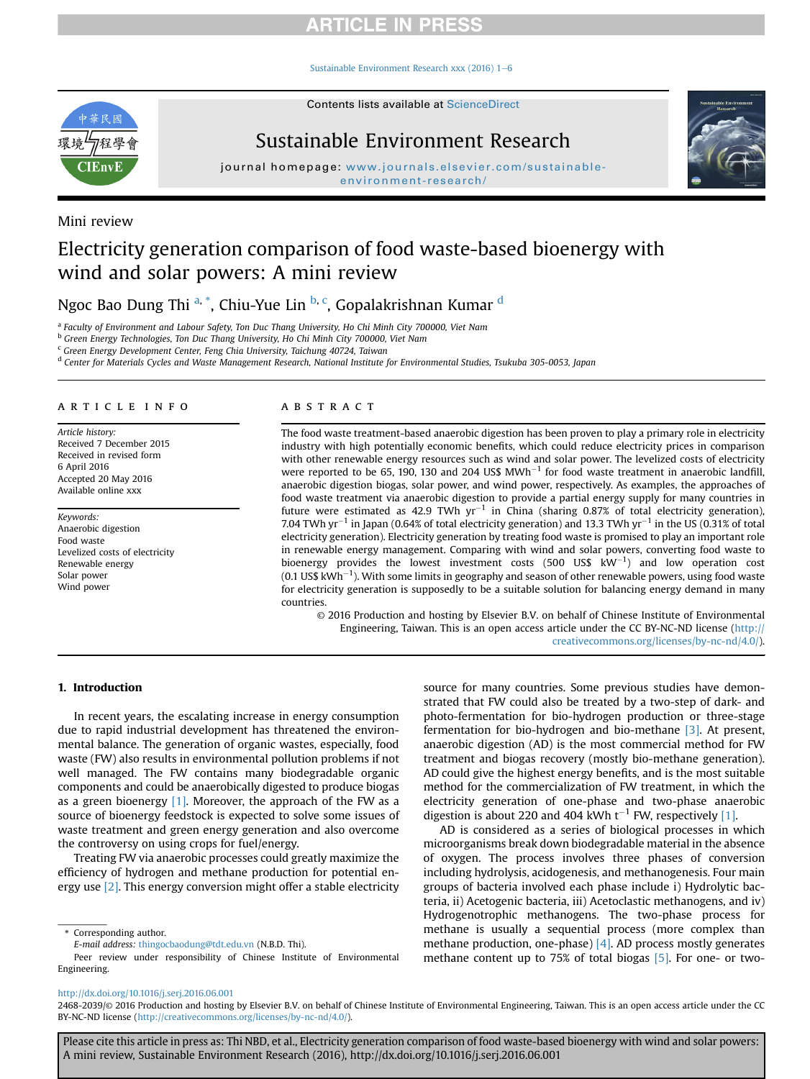# **RTICLE IN PRES**

Sustainable Environment Research xxx (2016)  $1-6$ 



Contents lists available at ScienceDirect

# Sustainable Environment Research



journal homepage: www.journals.elsevier.com/sustainable-

# Mini review

# Electricity generation comparison of food waste-based bioenergy with wind and solar powers: A mini review

Ngoc Bao Dung Thi <sup>a, \*</sup>, Chiu-Yue Lin <sup>b, c</sup>, Gopalakrishnan Kumar <sup>d</sup>

<sup>a</sup> Faculty of Environment and Labour Safety, Ton Duc Thang University, Ho Chi Minh City 700000, Viet Nam

<sup>b</sup> Green Energy Technologies, Ton Duc Thang University, Ho Chi Minh City 700000, Viet Nam

<sup>c</sup> Green Energy Development Center, Feng Chia University, Taichung 40724, Taiwan

<sup>d</sup> Center for Materials Cycles and Waste Management Research, National Institute for Environmental Studies, Tsukuba 305-0053, Japan

#### article info

Article history: Received 7 December 2015 Received in revised form 6 April 2016 Accepted 20 May 2016 Available online xxx

Keywords: Anaerobic digestion Food waste Levelized costs of electricity Renewable energy Solar power Wind power

## ABSTRACT

The food waste treatment-based anaerobic digestion has been proven to play a primary role in electricity industry with high potentially economic benefits, which could reduce electricity prices in comparison with other renewable energy resources such as wind and solar power. The levelized costs of electricity were reported to be 65, 190, 130 and 204 US\$  $MWh^{-1}$  for food waste treatment in anaerobic landfill, anaerobic digestion biogas, solar power, and wind power, respectively. As examples, the approaches of food waste treatment via anaerobic digestion to provide a partial energy supply for many countries in future were estimated as 42.9 TWh  $yr^{-1}$  in China (sharing 0.87% of total electricity generation), 7.04 TWh yr<sup>-1</sup> in Japan (0.64% of total electricity generation) and 13.3 TWh yr<sup>-1</sup> in the US (0.31% of total electricity generation). Electricity generation by treating food waste is promised to play an important role in renewable energy management. Comparing with wind and solar powers, converting food waste to bioenergy provides the lowest investment costs (500 US\$  $kW^{-1}$ ) and low operation cost (0.1 US\$  $kWh^{-1}$ ). With some limits in geography and season of other renewable powers, using food waste for electricity generation is supposedly to be a suitable solution for balancing energy demand in many countries.

© 2016 Production and hosting by Elsevier B.V. on behalf of Chinese Institute of Environmental Engineering, Taiwan. This is an open access article under the CC BY-NC-ND license (http:// creativecommons.org/licenses/by-nc-nd/4.0/).

## 1. Introduction

In recent years, the escalating increase in energy consumption due to rapid industrial development has threatened the environmental balance. The generation of organic wastes, especially, food waste (FW) also results in environmental pollution problems if not well managed. The FW contains many biodegradable organic components and could be anaerobically digested to produce biogas as a green bioenergy  $[1]$ . Moreover, the approach of the FW as a source of bioenergy feedstock is expected to solve some issues of waste treatment and green energy generation and also overcome the controversy on using crops for fuel/energy.

Treating FW via anaerobic processes could greatly maximize the efficiency of hydrogen and methane production for potential energy use [2]. This energy conversion might offer a stable electricity

source for many countries. Some previous studies have demonstrated that FW could also be treated by a two-step of dark- and photo-fermentation for bio-hydrogen production or three-stage fermentation for bio-hydrogen and bio-methane [3]. At present, anaerobic digestion (AD) is the most commercial method for FW treatment and biogas recovery (mostly bio-methane generation). AD could give the highest energy benefits, and is the most suitable method for the commercialization of FW treatment, in which the electricity generation of one-phase and two-phase anaerobic digestion is about 220 and 404 kWh  $t^{-1}$  FW, respectively [1].

AD is considered as a series of biological processes in which microorganisms break down biodegradable material in the absence of oxygen. The process involves three phases of conversion including hydrolysis, acidogenesis, and methanogenesis. Four main groups of bacteria involved each phase include i) Hydrolytic bacteria, ii) Acetogenic bacteria, iii) Acetoclastic methanogens, and iv) Hydrogenotrophic methanogens. The two-phase process for methane is usually a sequential process (more complex than methane production, one-phase) [4]. AD process mostly generates methane content up to 75% of total biogas [5]. For one- or two-

### http://dx.doi.org/10.1016/j.serj.2016.06.001

Corresponding author.

E-mail address: thingocbaodung@tdt.edu.vn (N.B.D. Thi).

Peer review under responsibility of Chinese Institute of Environmental Engineering.

<sup>2468-2039/</sup>© 2016 Production and hosting by Elsevier B.V. on behalf of Chinese Institute of Environmental Engineering, Taiwan. This is an open access article under the CC BY-NC-ND license (http://creativecommons.org/licenses/by-nc-nd/4.0/).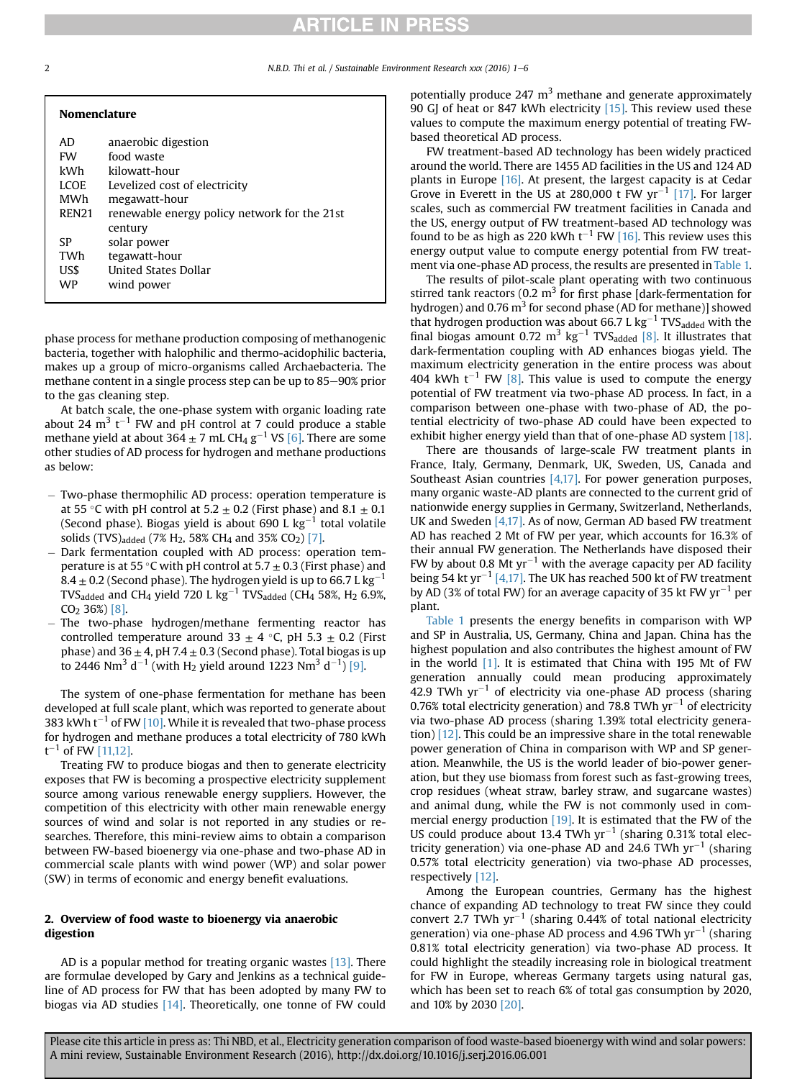# **ARTICLE IN PRESS**

2 N.B.D. Thi et al. / Sustainable Environment Research xxx (2016) 1–6

| <b>Nomenclature</b> |                                              |  |  |  |  |
|---------------------|----------------------------------------------|--|--|--|--|
| AD.                 | anaerobic digestion                          |  |  |  |  |
| <b>FW</b>           | food waste                                   |  |  |  |  |
| kWh                 | kilowatt-hour                                |  |  |  |  |
| LCOE.               | Levelized cost of electricity                |  |  |  |  |
| MWh                 | megawatt-hour                                |  |  |  |  |
| <b>REN21</b>        | renewable energy policy network for the 21st |  |  |  |  |
|                     | century                                      |  |  |  |  |
| SP                  | solar power                                  |  |  |  |  |
| TWh                 | tegawatt-hour                                |  |  |  |  |
| US\$                | United States Dollar                         |  |  |  |  |
| WP                  | wind power                                   |  |  |  |  |
|                     |                                              |  |  |  |  |

phase process for methane production composing of methanogenic bacteria, together with halophilic and thermo-acidophilic bacteria, makes up a group of micro-organisms called Archaebacteria. The methane content in a single process step can be up to  $85-90\%$  prior to the gas cleaning step.

At batch scale, the one-phase system with organic loading rate about 24  $\mathrm{m}^{3}$  t<sup>-1</sup> FW and pH control at 7 could produce a stable methane yield at about  $364 \pm 7$  mL CH<sub>4</sub> g<sup>-1</sup> VS [6]. There are some other studies of AD process for hydrogen and methane productions as below:

- Two-phase thermophilic AD process: operation temperature is at 55 °C with pH control at 5.2  $\pm$  0.2 (First phase) and 8.1  $\pm$  0.1 (Second phase). Biogas yield is about 690 L  $kg^{-1}$  total volatile solids (TVS)<sub>added</sub> (7% H<sub>2</sub>, 58% CH<sub>4</sub> and 35% CO<sub>2</sub>) [7].
- Dark fermentation coupled with AD process: operation temperature is at 55 °C with pH control at 5.7  $\pm$  0.3 (First phase) and 8.4  $\pm$  0.2 (Second phase). The hydrogen yield is up to 66.7 L kg<sup>-1</sup> TVS<sub>added</sub> and CH<sub>4</sub> yield 720 L kg<sup>-1</sup> TVS<sub>added</sub> (CH<sub>4</sub> 58%, H<sub>2</sub> 6.9%, CO2 36%) [8].
- The two-phase hydrogen/methane fermenting reactor has controlled temperature around 33  $\pm$  4 °C, pH 5.3  $\pm$  0.2 (First phase) and  $36 \pm 4$ , pH 7.4  $\pm$  0.3 (Second phase). Total biogas is up to 2446 Nm $^3$  d $^{-1}$  (with H<sub>2</sub> yield around 1223 Nm $^3$  d $^{-1}$ ) [9].

The system of one-phase fermentation for methane has been developed at full scale plant, which was reported to generate about 383 kWh  $t^{-1}$  of FW [10]. While it is revealed that two-phase process for hydrogen and methane produces a total electricity of 780 kWh  $\mathsf{t}^{-1}$  of FW [11,12].

Treating FW to produce biogas and then to generate electricity exposes that FW is becoming a prospective electricity supplement source among various renewable energy suppliers. However, the competition of this electricity with other main renewable energy sources of wind and solar is not reported in any studies or researches. Therefore, this mini-review aims to obtain a comparison between FW-based bioenergy via one-phase and two-phase AD in commercial scale plants with wind power (WP) and solar power (SW) in terms of economic and energy benefit evaluations.

### 2. Overview of food waste to bioenergy via anaerobic digestion

AD is a popular method for treating organic wastes [13]. There are formulae developed by Gary and Jenkins as a technical guideline of AD process for FW that has been adopted by many FW to biogas via AD studies [14]. Theoretically, one tonne of FW could potentially produce 247  $m<sup>3</sup>$  methane and generate approximately 90 GJ of heat or 847 kWh electricity [15]. This review used these values to compute the maximum energy potential of treating FWbased theoretical AD process.

FW treatment-based AD technology has been widely practiced around the world. There are 1455 AD facilities in the US and 124 AD plants in Europe [16]. At present, the largest capacity is at Cedar Grove in Everett in the US at 280,000 t FW  $\text{yr}^{-1}$  [17]. For larger scales, such as commercial FW treatment facilities in Canada and the US, energy output of FW treatment-based AD technology was found to be as high as 220 kWh  $t^{-1}$  FW [16]. This review uses this energy output value to compute energy potential from FW treatment via one-phase AD process, the results are presented in Table 1.

The results of pilot-scale plant operating with two continuous stirred tank reactors (0.2  $m<sup>3</sup>$  for first phase [dark-fermentation for hydrogen) and 0.76  $m<sup>3</sup>$  for second phase (AD for methane)] showed that hydrogen production was about 66.7 L  $\text{kg}^{-1}$  TVS<sub>added</sub> with the final biogas amount 0.72 m<sup>3</sup> kg<sup>-1</sup> TVS<sub>added</sub> [8]. It illustrates that dark-fermentation coupling with AD enhances biogas yield. The maximum electricity generation in the entire process was about 404 kWh  $t^{-1}$  FW [8]. This value is used to compute the energy potential of FW treatment via two-phase AD process. In fact, in a comparison between one-phase with two-phase of AD, the potential electricity of two-phase AD could have been expected to exhibit higher energy yield than that of one-phase AD system [18].

There are thousands of large-scale FW treatment plants in France, Italy, Germany, Denmark, UK, Sweden, US, Canada and Southeast Asian countries [4,17]. For power generation purposes, many organic waste-AD plants are connected to the current grid of nationwide energy supplies in Germany, Switzerland, Netherlands, UK and Sweden [4,17]. As of now, German AD based FW treatment AD has reached 2 Mt of FW per year, which accounts for 16.3% of their annual FW generation. The Netherlands have disposed their FW by about 0.8 Mt  $yr^{-1}$  with the average capacity per AD facility being 54 kt yr<sup>-1</sup> [4,17]. The UK has reached 500 kt of FW treatment by AD (3% of total FW) for an average capacity of 35 kt FW  $\rm yr^{-1}$  per plant.

Table 1 presents the energy benefits in comparison with WP and SP in Australia, US, Germany, China and Japan. China has the highest population and also contributes the highest amount of FW in the world  $[1]$ . It is estimated that China with 195 Mt of FW generation annually could mean producing approximately 42.9 TWh  $yr^{-1}$  of electricity via one-phase AD process (sharing 0.76% total electricity generation) and 78.8 TWh  $yr^{-1}$  of electricity via two-phase AD process (sharing 1.39% total electricity generation) [12]. This could be an impressive share in the total renewable power generation of China in comparison with WP and SP generation. Meanwhile, the US is the world leader of bio-power generation, but they use biomass from forest such as fast-growing trees, crop residues (wheat straw, barley straw, and sugarcane wastes) and animal dung, while the FW is not commonly used in commercial energy production [19]. It is estimated that the FW of the US could produce about 13.4 TWh  $yr^{-1}$  (sharing 0.31% total electricity generation) via one-phase AD and 24.6 TWh  $yr^{-1}$  (sharing 0.57% total electricity generation) via two-phase AD processes, respectively [12].

Among the European countries, Germany has the highest chance of expanding AD technology to treat FW since they could convert 2.7 TWh  $yr^{-1}$  (sharing 0.44% of total national electricity generation) via one-phase AD process and 4.96 TWh  $yr^{-1}$  (sharing 0.81% total electricity generation) via two-phase AD process. It could highlight the steadily increasing role in biological treatment for FW in Europe, whereas Germany targets using natural gas, which has been set to reach 6% of total gas consumption by 2020, and 10% by 2030 [20].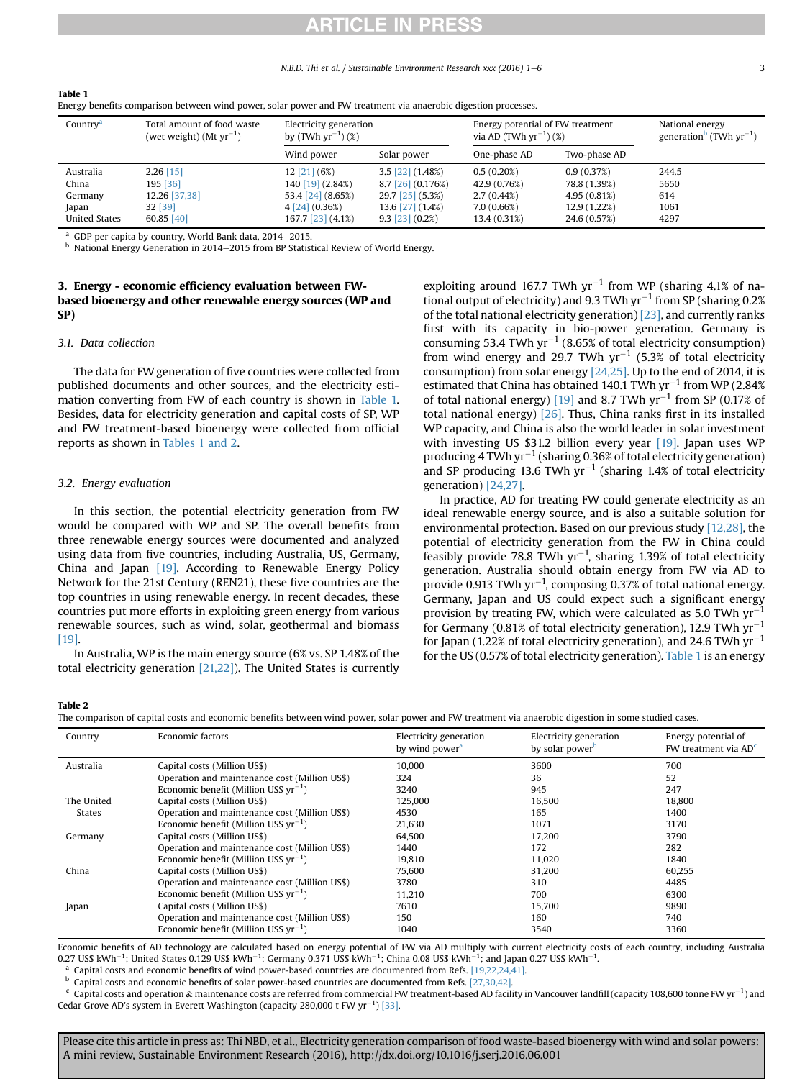# RTICLE IN PRES

#### N.B.D. Thi et al. / Sustainable Environment Research xxx (2016) 1–6 3

| $\sim$               |                                                            |                                                  |                     |                                                                 |              |                                                             |
|----------------------|------------------------------------------------------------|--------------------------------------------------|---------------------|-----------------------------------------------------------------|--------------|-------------------------------------------------------------|
| Country <sup>a</sup> | Total amount of food waste<br>(wet weight) (Mt $yr^{-1}$ ) | Electricity generation<br>by $(TWh yr^{-1})$ (%) |                     | Energy potential of FW treatment<br>via AD (TWh $yr^{-1}$ ) (%) |              | National energy<br>generation <sup>b</sup> (TWh $yr^{-1}$ ) |
|                      |                                                            | Wind power                                       | Solar power         | One-phase AD                                                    | Two-phase AD |                                                             |
| Australia            | $2.26$ [15]                                                | $12$ [21] (6%)                                   | $3.5$ [22] (1.48%)  | 0.5(0.20%)                                                      | 0.9(0.37%)   | 244.5                                                       |
| China                | 195 [36]                                                   | 140 [19] (2.84%)                                 | $8.7$ [26] (0.176%) | 42.9 (0.76%)                                                    | 78.8 (1.39%) | 5650                                                        |
| Germany              | 12.26 [37,38]                                              | 53.4 [24] (8.65%)                                | 29.7 [25] (5.3%)    | 2.7(0.44%)                                                      | 4.95(0.81%)  | 614                                                         |
| Japan                | 32 [39]                                                    | $4$ [24] (0.36%)                                 | 13.6 [27] (1.4%)    | 7.0(0.66%)                                                      | 12.9 (1.22%) | 1061                                                        |
| <b>United States</b> | 60.85 [40]                                                 | 167.7 [23] (4.1%)                                | $9.3$ [23] (0.2%)   | 13.4 (0.31%)                                                    | 24.6 (0.57%) | 4297                                                        |

Energy benefits comparison between wind power, solar power and FW treatment via anaerobic digestion processes.

<sup>a</sup> GDP per capita by country, World Bank data,  $2014-2015$ .<br><sup>b</sup> National Energy Congration in 2014, 2015 from BB Static

National Energy Generation in 2014-2015 from BP Statistical Review of World Energy.

### 3. Energy - economic efficiency evaluation between FWbased bioenergy and other renewable energy sources (WP and SP)

#### 3.1. Data collection

Table 1

The data for FW generation of five countries were collected from published documents and other sources, and the electricity estimation converting from FW of each country is shown in Table 1. Besides, data for electricity generation and capital costs of SP, WP and FW treatment-based bioenergy were collected from official reports as shown in Tables 1 and 2.

### 3.2. Energy evaluation

In this section, the potential electricity generation from FW would be compared with WP and SP. The overall benefits from three renewable energy sources were documented and analyzed using data from five countries, including Australia, US, Germany, China and Japan [19]. According to Renewable Energy Policy Network for the 21st Century (REN21), these five countries are the top countries in using renewable energy. In recent decades, these countries put more efforts in exploiting green energy from various renewable sources, such as wind, solar, geothermal and biomass [19].

In Australia, WP is the main energy source (6% vs. SP 1.48% of the total electricity generation [21,22]). The United States is currently exploiting around 167.7 TWh  $yr^{-1}$  from WP (sharing 4.1% of national output of electricity) and 9.3 TWh  $yr^{-1}$  from SP (sharing 0.2% of the total national electricity generation) [23], and currently ranks first with its capacity in bio-power generation. Germany is consuming 53.4 TWh  $yr^{-1}$  (8.65% of total electricity consumption) from wind energy and 29.7 TWh  $yr^{-1}$  (5.3% of total electricity consumption) from solar energy  $[24,25]$ . Up to the end of 2014, it is estimated that China has obtained 140.1 TWh  $\text{yr}^{-1}$  from WP (2.84%) of total national energy) [19] and 8.7 TWh  $yr^{-1}$  from SP (0.17% of total national energy) [26]. Thus, China ranks first in its installed WP capacity, and China is also the world leader in solar investment with investing US \$31.2 billion every year [19]. Japan uses WP producing 4 TWh  $yr^{-1}$  (sharing 0.36% of total electricity generation) and SP producing 13.6 TWh  $yr^{-1}$  (sharing 1.4% of total electricity generation) [24,27].

In practice, AD for treating FW could generate electricity as an ideal renewable energy source, and is also a suitable solution for environmental protection. Based on our previous study [12,28], the potential of electricity generation from the FW in China could feasibly provide 78.8 TWh  $yr^{-1}$ , sharing 1.39% of total electricity generation. Australia should obtain energy from FW via AD to provide 0.913 TWh yr<sup>-1</sup>, composing 0.37% of total national energy. Germany, Japan and US could expect such a significant energy provision by treating FW, which were calculated as  $5.0$  TWh  $\text{yr}^{-1}$ for Germany (0.81% of total electricity generation), 12.9 TWh  $yr^{-1}$ for Japan (1.22% of total electricity generation), and 24.6 TWh  $\rm{yr^{-1}}$ for the US (0.57% of total electricity generation). Table 1 is an energy

### Table 2

|  |  | The comparison of capital costs and economic benefits between wind power, solar power and FW treatment via anaerobic digestion in some studied cases. |  |  |  |
|--|--|-------------------------------------------------------------------------------------------------------------------------------------------------------|--|--|--|
|  |  |                                                                                                                                                       |  |  |  |

| Country       | Economic factors                              | Electricity generation<br>by wind power <sup>a</sup> | Electricity generation<br>by solar power <sup>b</sup> | Energy potential of<br>FW treatment via $ADc$ |
|---------------|-----------------------------------------------|------------------------------------------------------|-------------------------------------------------------|-----------------------------------------------|
| Australia     | Capital costs (Million US\$)                  | 10,000                                               | 3600                                                  | 700                                           |
|               | Operation and maintenance cost (Million US\$) | 324                                                  | 36                                                    | 52                                            |
|               | Economic benefit (Million US\$ $yr^{-1}$ )    | 3240                                                 | 945                                                   | 247                                           |
| The United    | Capital costs (Million US\$)                  | 125.000                                              | 16,500                                                | 18.800                                        |
| <b>States</b> | Operation and maintenance cost (Million US\$) | 4530                                                 | 165                                                   | 1400                                          |
|               | Economic benefit (Million US\$ $yr^{-1}$ )    | 21.630                                               | 1071                                                  | 3170                                          |
| Germany       | Capital costs (Million US\$)                  | 64.500                                               | 17.200                                                | 3790                                          |
|               | Operation and maintenance cost (Million US\$) | 1440                                                 | 172                                                   | 282                                           |
|               | Economic benefit (Million US\$ $yr^{-1}$ )    | 19,810                                               | 11,020                                                | 1840                                          |
| China         | Capital costs (Million US\$)                  | 75,600                                               | 31,200                                                | 60,255                                        |
|               | Operation and maintenance cost (Million US\$) | 3780                                                 | 310                                                   | 4485                                          |
|               | Economic benefit (Million US\$ $yr^{-1}$ )    | 11,210                                               | 700                                                   | 6300                                          |
| Japan         | Capital costs (Million US\$)                  | 7610                                                 | 15,700                                                | 9890                                          |
|               | Operation and maintenance cost (Million US\$) | 150                                                  | 160                                                   | 740                                           |
|               | Economic benefit (Million US\$ $vr^{-1}$ )    | 1040                                                 | 3540                                                  | 3360                                          |

Economic benefits of AD technology are calculated based on energy potential of FW via AD multiply with current electricity costs of each country, including Australia 0.27 US\$ kWh $^{-1}$ ; United States 0.129 US\$ kWh $^{-1}$ ; Germany 0.371 US\$ kWh $^{-1}$ ; China 0.08 US\$ kWh $^{-1}$ ; and Japan 0.27 US\$ kWh $^{-1}$ .

<sup>a</sup> Capital costs and economic benefits of wind power-based countries are documented from Refs. [19,22,24,41].

<sup>b</sup> Capital costs and economic benefits of solar power-based countries are documented from Refs. [27,30,42].

 $^{\rm c}$  Capital costs and operation & maintenance costs are referred from commercial FW treatment-based AD facility in Vancouver landfill (capacity 108,600 tonne FW yr $^{-1}$ ) and Cedar Grove AD's system in Everett Washington (capacity 280,000 t FW  $\text{yr}^{-1}$ ) [33].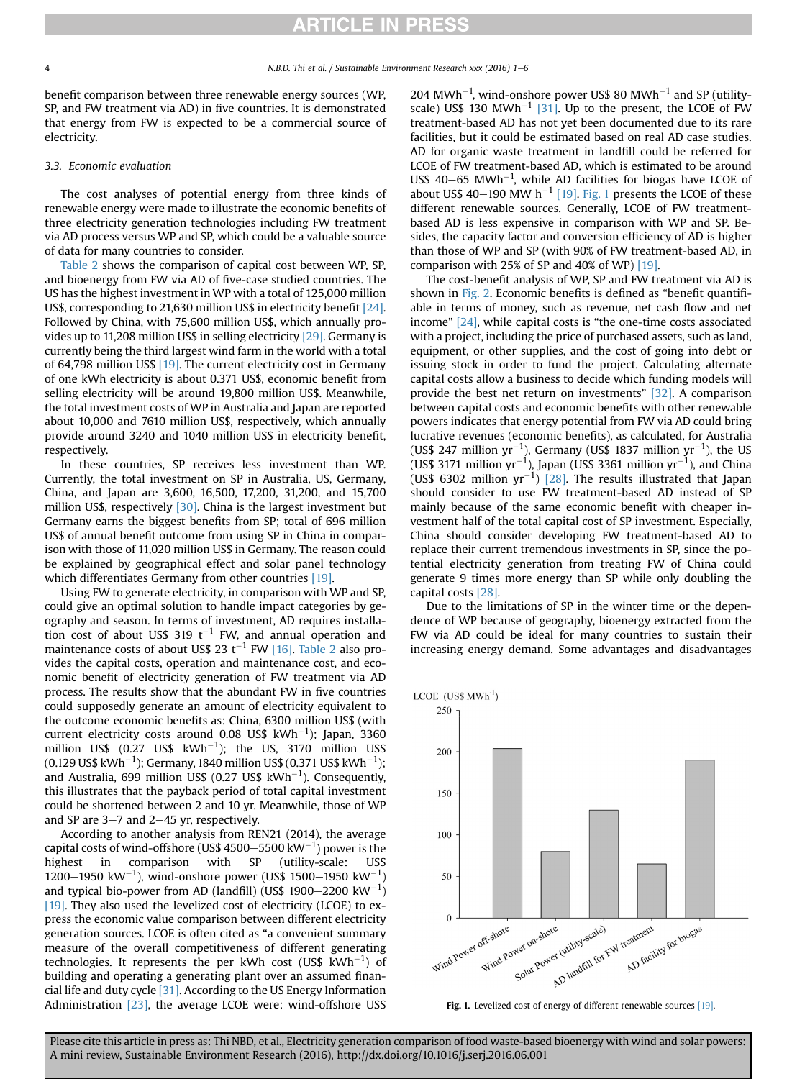# **RTICLE IN PRESS**

benefit comparison between three renewable energy sources (WP, SP, and FW treatment via AD) in five countries. It is demonstrated that energy from FW is expected to be a commercial source of electricity.

### 3.3. Economic evaluation

The cost analyses of potential energy from three kinds of renewable energy were made to illustrate the economic benefits of three electricity generation technologies including FW treatment via AD process versus WP and SP, which could be a valuable source of data for many countries to consider.

Table 2 shows the comparison of capital cost between WP, SP, and bioenergy from FW via AD of five-case studied countries. The US has the highest investment in WP with a total of 125,000 million US\$, corresponding to 21,630 million US\$ in electricity benefit [24]. Followed by China, with 75,600 million US\$, which annually provides up to 11,208 million US\$ in selling electricity [29]. Germany is currently being the third largest wind farm in the world with a total of 64,798 million US\$ [19]. The current electricity cost in Germany of one kWh electricity is about 0.371 US\$, economic benefit from selling electricity will be around 19,800 million US\$. Meanwhile, the total investment costs of WP in Australia and Japan are reported about 10,000 and 7610 million US\$, respectively, which annually provide around 3240 and 1040 million US\$ in electricity benefit, respectively.

In these countries, SP receives less investment than WP. Currently, the total investment on SP in Australia, US, Germany, China, and Japan are 3,600, 16,500, 17,200, 31,200, and 15,700 million US\$, respectively [30]. China is the largest investment but Germany earns the biggest benefits from SP; total of 696 million US\$ of annual benefit outcome from using SP in China in comparison with those of 11,020 million US\$ in Germany. The reason could be explained by geographical effect and solar panel technology which differentiates Germany from other countries [19].

Using FW to generate electricity, in comparison with WP and SP, could give an optimal solution to handle impact categories by geography and season. In terms of investment, AD requires installation cost of about US\$ 319  $t^{-1}$  FW, and annual operation and maintenance costs of about US\$ 23 t<sup>-1</sup> FW [16]. Table 2 also provides the capital costs, operation and maintenance cost, and economic benefit of electricity generation of FW treatment via AD process. The results show that the abundant FW in five countries could supposedly generate an amount of electricity equivalent to the outcome economic benefits as: China, 6300 million US\$ (with current electricity costs around 0.08 US\$  $\mathrm{kWh^{-1}}$ ); Japan, 3360 million US\$ (0.27 US\$  $kWh^{-1}$ ); the US, 3170 million US\$ (0.129 US\$ kWh $^{-1}$ ); Germany, 1840 million US\$ (0.371 US\$ kWh $^{-1}$ ); and Australia, 699 million US\$ (0.27 US\$  $\mathrm{kWh^{-1}}$ ). Consequently, this illustrates that the payback period of total capital investment could be shortened between 2 and 10 yr. Meanwhile, those of WP and SP are  $3-7$  and  $2-45$  yr, respectively.

According to another analysis from REN21 (2014), the average capital costs of wind-offshore (US\$ 4500–5500 kW $^{-1}$ ) power is the highest in comparison with SP (utility-scale: US\$ 1200–1950 kW<sup>-1</sup>), wind-onshore power (US\$ 1500–1950 kW<sup>-1</sup>) and typical bio-power from AD (landfill) (US\$ 1900–2200 kW $^{-1})$ [19]. They also used the levelized cost of electricity (LCOE) to express the economic value comparison between different electricity generation sources. LCOE is often cited as "a convenient summary measure of the overall competitiveness of different generating technologies. It represents the per kWh cost (US\$ kWh $^{-1})$  of building and operating a generating plant over an assumed financial life and duty cycle [31]. According to the US Energy Information Administration [23], the average LCOE were: wind-offshore US\$ 204 MWh<sup>-1</sup>, wind-onshore power US\$ 80 MWh<sup>-1</sup> and SP (utilityscale) US\$ 130 MWh<sup>-1</sup> [31]. Up to the present, the LCOE of FW treatment-based AD has not yet been documented due to its rare facilities, but it could be estimated based on real AD case studies. AD for organic waste treatment in landfill could be referred for LCOE of FW treatment-based AD, which is estimated to be around US\$  $40-65$  MWh<sup>-1</sup>, while AD facilities for biogas have LCOE of about US\$ 40-190 MW h<sup>-1</sup> [19]. Fig. 1 presents the LCOE of these different renewable sources. Generally, LCOE of FW treatmentbased AD is less expensive in comparison with WP and SP. Besides, the capacity factor and conversion efficiency of AD is higher than those of WP and SP (with 90% of FW treatment-based AD, in comparison with 25% of SP and 40% of WP) [19].

The cost-benefit analysis of WP, SP and FW treatment via AD is shown in Fig. 2. Economic benefits is defined as "benefit quantifiable in terms of money, such as revenue, net cash flow and net income" [24], while capital costs is "the one-time costs associated with a project, including the price of purchased assets, such as land, equipment, or other supplies, and the cost of going into debt or issuing stock in order to fund the project. Calculating alternate capital costs allow a business to decide which funding models will provide the best net return on investments" [32]. A comparison between capital costs and economic benefits with other renewable powers indicates that energy potential from FW via AD could bring lucrative revenues (economic benefits), as calculated, for Australia (US\$ 247 million yr<sup>-1</sup>), Germany (US\$ 1837 million yr<sup>-1</sup>), the US (US\$ 3171 million yr<sup>-1</sup>), Japan (US\$ 3361 million yr<sup>-1</sup>), and China (US\$ 6302 million  $yr^{-1}$ ) [28]. The results illustrated that Japan should consider to use FW treatment-based AD instead of SP mainly because of the same economic benefit with cheaper investment half of the total capital cost of SP investment. Especially, China should consider developing FW treatment-based AD to replace their current tremendous investments in SP, since the potential electricity generation from treating FW of China could generate 9 times more energy than SP while only doubling the capital costs [28].

Due to the limitations of SP in the winter time or the dependence of WP because of geography, bioenergy extracted from the FW via AD could be ideal for many countries to sustain their increasing energy demand. Some advantages and disadvantages



Fig. 1. Levelized cost of energy of different renewable sources [19].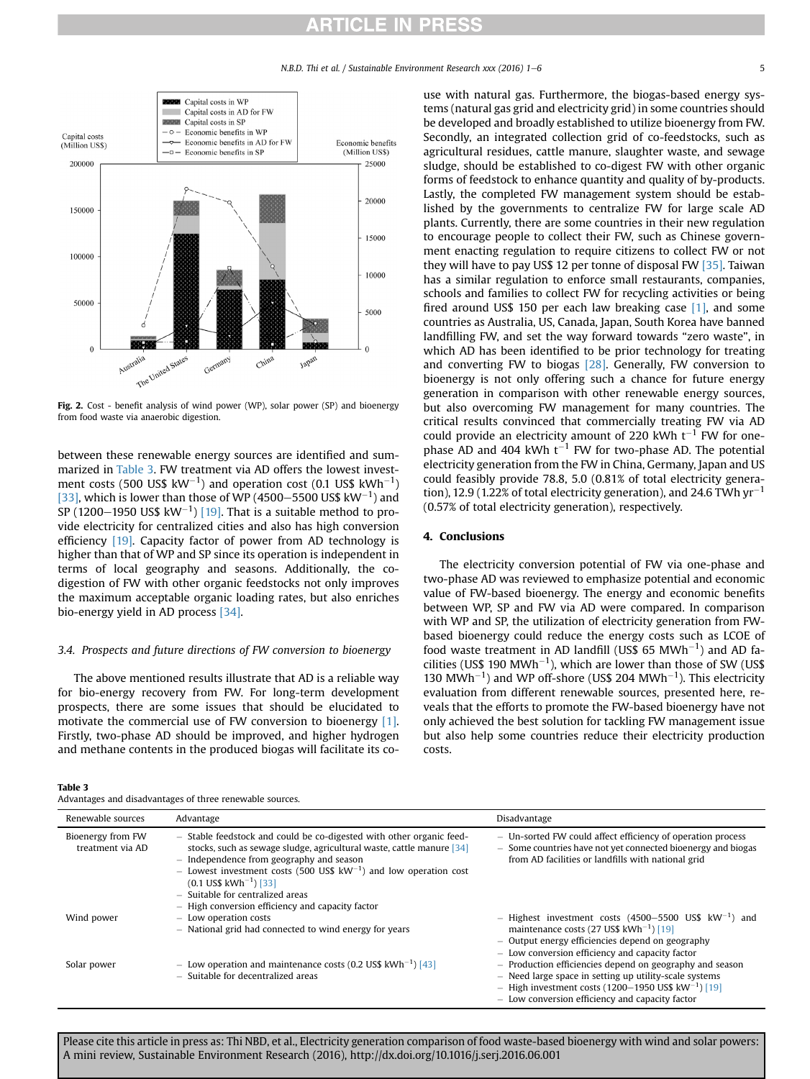# ICLE IN PRES



Fig. 2. Cost - benefit analysis of wind power (WP), solar power (SP) and bioenergy from food waste via anaerobic digestion.

between these renewable energy sources are identified and summarized in Table 3. FW treatment via AD offers the lowest investment costs (500 US\$ kW $^{-1}$ ) and operation cost (0.1 US\$ kWh $^{-1})$ [33], which is lower than those of WP (4500–5500 US\$  $\text{kW}^{-1}$ ) and SP (1200–1950 US\$  $\text{kW}^{-1}$ ) [19]. That is a suitable method to provide electricity for centralized cities and also has high conversion efficiency [19]. Capacity factor of power from AD technology is higher than that of WP and SP since its operation is independent in terms of local geography and seasons. Additionally, the codigestion of FW with other organic feedstocks not only improves the maximum acceptable organic loading rates, but also enriches bio-energy yield in AD process [34].

### 3.4. Prospects and future directions of FW conversion to bioenergy

The above mentioned results illustrate that AD is a reliable way for bio-energy recovery from FW. For long-term development prospects, there are some issues that should be elucidated to motivate the commercial use of FW conversion to bioenergy [1]. Firstly, two-phase AD should be improved, and higher hydrogen and methane contents in the produced biogas will facilitate its co-

Table 3

Advantages and disadvantages of three renewable sources.

use with natural gas. Furthermore, the biogas-based energy systems (natural gas grid and electricity grid) in some countries should be developed and broadly established to utilize bioenergy from FW. Secondly, an integrated collection grid of co-feedstocks, such as agricultural residues, cattle manure, slaughter waste, and sewage sludge, should be established to co-digest FW with other organic forms of feedstock to enhance quantity and quality of by-products. Lastly, the completed FW management system should be established by the governments to centralize FW for large scale AD plants. Currently, there are some countries in their new regulation to encourage people to collect their FW, such as Chinese government enacting regulation to require citizens to collect FW or not they will have to pay US\$ 12 per tonne of disposal FW [35]. Taiwan has a similar regulation to enforce small restaurants, companies, schools and families to collect FW for recycling activities or being fired around US\$ 150 per each law breaking case [1], and some countries as Australia, US, Canada, Japan, South Korea have banned landfilling FW, and set the way forward towards "zero waste", in which AD has been identified to be prior technology for treating and converting FW to biogas [28]. Generally, FW conversion to bioenergy is not only offering such a chance for future energy generation in comparison with other renewable energy sources, but also overcoming FW management for many countries. The critical results convinced that commercially treating FW via AD could provide an electricity amount of 220 kWh  $t^{-1}$  FW for onephase AD and 404 kWh  $t^{-1}$  FW for two-phase AD. The potential electricity generation from the FW in China, Germany, Japan and US could feasibly provide 78.8, 5.0 (0.81% of total electricity generation), 12.9 (1.22% of total electricity generation), and 24.6 TWh  $\text{yr}^{-1}$ (0.57% of total electricity generation), respectively.

### 4. Conclusions

The electricity conversion potential of FW via one-phase and two-phase AD was reviewed to emphasize potential and economic value of FW-based bioenergy. The energy and economic benefits between WP, SP and FW via AD were compared. In comparison with WP and SP, the utilization of electricity generation from FWbased bioenergy could reduce the energy costs such as LCOE of food waste treatment in AD landfill (US\$ 65  $MWh^{-1}$ ) and AD facilities (US\$ 190 MWh<sup>-1</sup>), which are lower than those of SW (US\$ 130 MWh<sup>-1</sup>) and WP off-shore (US\$ 204 MWh<sup>-1</sup>). This electricity evaluation from different renewable sources, presented here, reveals that the efforts to promote the FW-based bioenergy have not only achieved the best solution for tackling FW management issue but also help some countries reduce their electricity production costs.

| Renewable sources                     | Advantage                                                                                                                                                                                                                                                                                                                                                                                               | Disadvantage                                                                                                                                                                                                                          |
|---------------------------------------|---------------------------------------------------------------------------------------------------------------------------------------------------------------------------------------------------------------------------------------------------------------------------------------------------------------------------------------------------------------------------------------------------------|---------------------------------------------------------------------------------------------------------------------------------------------------------------------------------------------------------------------------------------|
| Bioenergy from FW<br>treatment via AD | - Stable feedstock and could be co-digested with other organic feed-<br>stocks, such as sewage sludge, agricultural waste, cattle manure [34]<br>$-$ Independence from geography and season<br>- Lowest investment costs (500 US\$ $kW^{-1}$ ) and low operation cost<br>$(0.1$ US\$ kWh <sup>-1</sup> ) [33]<br>- Suitable for centralized areas<br>$-$ High conversion efficiency and capacity factor | - Un-sorted FW could affect efficiency of operation process<br>- Some countries have not yet connected bioenergy and biogas<br>from AD facilities or landfills with national grid                                                     |
| Wind power                            | - Low operation costs<br>- National grid had connected to wind energy for years                                                                                                                                                                                                                                                                                                                         | - Highest investment costs (4500-5500 US\$ $kW^{-1}$ ) and<br>maintenance costs (27 US\$ $kWh^{-1}$ ) [19]<br>$-$ Output energy efficiencies depend on geography<br>- Low conversion efficiency and capacity factor                   |
| Solar power                           | - Low operation and maintenance costs (0.2 US\$ $kWh^{-1}$ ) [43]<br>- Suitable for decentralized areas                                                                                                                                                                                                                                                                                                 | $-$ Production efficiencies depend on geography and season<br>$-$ Need large space in setting up utility-scale systems<br>- High investment costs (1200-1950 US\$ $kW^{-1}$ ) [19]<br>- Low conversion efficiency and capacity factor |